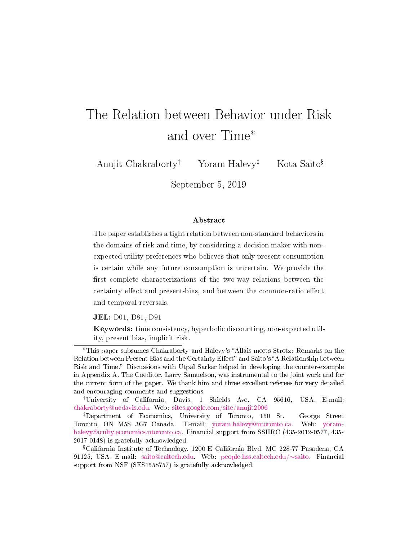# The Relation between Behavior under Risk and over Time<sup>∗</sup>

Anujit Chakraborty<sup>†</sup> Yoram Halevy<sup>‡</sup> Kota Saito<sup>§</sup>

September 5, 2019

#### Abstract

The paper establishes a tight relation between non-standard behaviors in the domains of risk and time, by considering a decision maker with nonexpected utility preferences who believes that only present consumption is certain while any future consumption is uncertain. We provide the first complete characterizations of the two-way relations between the certainty effect and present-bias, and between the common-ratio effect and temporal reversals.

JEL: D01, D81, D91

Keywords: time consistency, hyperbolic discounting, non-expected utility, present bias, implicit risk.

†University of California, Davis, 1 Shields Ave, CA 95616, USA. E-mail: [chakraborty@ucdavis.edu.](mailto:chakraborty%40ucdavis.edu) Web: [sites.google.com/site/anujit2006](http://sites.google.com/site/anujit2006/)

‡Department of Economics, University of Toronto, 150 St. George Street Toronto, ON M5S 3G7 Canada. E-mail: [yoram.halevy@utoronto.ca.](mailto:yoram.halevy%40utoronto.ca) Web: [yoram](https://yoram-halevy.faculty.economics.utoronto.ca/)[halevy.faculty.economics.utoronto.ca.](https://yoram-halevy.faculty.economics.utoronto.ca/) Financial support from SSHRC (435-2012-0577, 435- 2017-0148) is gratefully acknowledged.

<sup>\*</sup>This paper subsumes Chakraborty and Halevy's "Allais meets Strotz: Remarks on the Relation between Present Bias and the Certainty Effect" and Saito's "A Relationship between Risk and Time." Discussions with Utpal Sarkar helped in developing the counter-example in Appendix A. The Coeditor, Larry Samuelson, was instrumental to the joint work and for the current form of the paper. We thank him and three excellent referees for very detailed and encouraging comments and suggestions.

 $\textsuperscript{s}\text{C}\text{alifornia Institute of Technology}, 1200 E\text{ California Blvd}, MC 228-77 Pasadena, CA$ 91125, USA. E-mail: [saito@caltech.edu.](mailto:saito%40caltech.edu) Web: [people.hss.caltech.edu/](http://people.hss.caltech.edu/~saito)∼saito. Financial support from NSF (SES1558757) is gratefully acknowledged.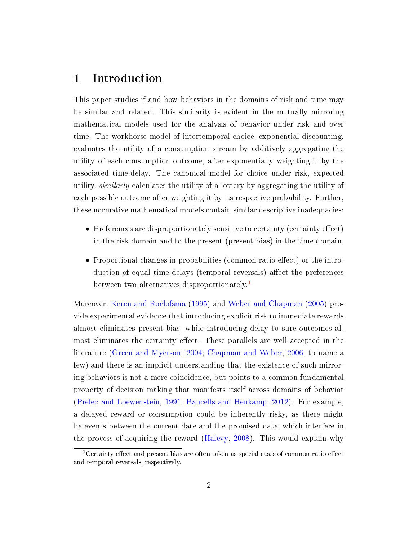# 1 Introduction

This paper studies if and how behaviors in the domains of risk and time may be similar and related. This similarity is evident in the mutually mirroring mathematical models used for the analysis of behavior under risk and over time. The workhorse model of intertemporal choice, exponential discounting, evaluates the utility of a consumption stream by additively aggregating the utility of each consumption outcome, after exponentially weighting it by the associated time-delay. The canonical model for choice under risk, expected utility, similarly calculates the utility of a lottery by aggregating the utility of each possible outcome after weighting it by its respective probability. Further, these normative mathematical models contain similar descriptive inadequacies:

- Preferences are disproportionately sensitive to certainty (certainty effect) in the risk domain and to the present (present-bias) in the time domain.
- Proportional changes in probabilities (common-ratio effect) or the introduction of equal time delays (temporal reversals) affect the preferences between two alternatives disproportionately.<sup>[1](#page-1-0)</sup>

Moreover, [Keren and Roelofsma](#page-20-0) [\(1995\)](#page-20-0) and [Weber and Chapman](#page-21-0) [\(2005\)](#page-21-0) provide experimental evidence that introducing explicit risk to immediate rewards almost eliminates present-bias, while introducing delay to sure outcomes almost eliminates the certainty effect. These parallels are well accepted in the literature [\(Green and Myerson,](#page-20-1) [2004;](#page-20-1) [Chapman and Weber,](#page-20-2) [2006,](#page-20-2) to name a few) and there is an implicit understanding that the existence of such mirroring behaviors is not a mere coincidence, but points to a common fundamental property of decision making that manifests itself across domains of behavior [\(Prelec and Loewenstein,](#page-20-3) [1991;](#page-20-3) [Baucells and Heukamp,](#page-20-4) [2012\)](#page-20-4). For example, a delayed reward or consumption could be inherently risky, as there might be events between the current date and the promised date, which interfere in the process of acquiring the reward [\(Halevy,](#page-20-5) [2008\)](#page-20-5). This would explain why

<span id="page-1-0"></span> $1$ Certainty effect and present-bias are often taken as special cases of common-ratio effect and temporal reversals, respectively.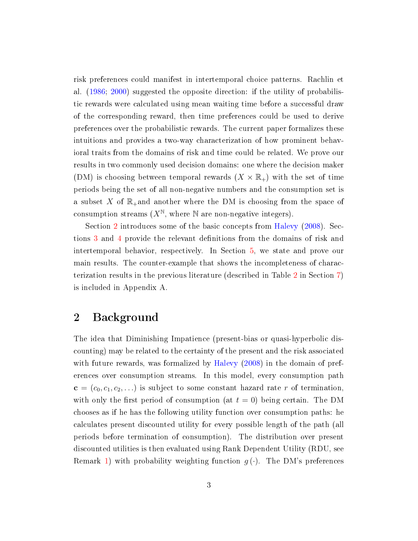risk preferences could manifest in intertemporal choice patterns. Rachlin et al. [\(1986;](#page-21-1) [2000\)](#page-21-2) suggested the opposite direction: if the utility of probabilistic rewards were calculated using mean waiting time before a successful draw of the corresponding reward, then time preferences could be used to derive preferences over the probabilistic rewards. The current paper formalizes these intuitions and provides a two-way characterization of how prominent behavioral traits from the domains of risk and time could be related. We prove our results in two commonly used decision domains: one where the decision maker (DM) is choosing between temporal rewards  $(X \times \mathbb{R}_{+})$  with the set of time periods being the set of all non-negative numbers and the consumption set is a subset X of  $\mathbb{R}_+$  and another where the DM is choosing from the space of consumption streams  $(X^{\mathbb{N}},$  where  $\mathbb N$  are non-negative integers).

Section [2](#page-2-0) introduces some of the basic concepts from [Halevy](#page-20-5) [\(2008\)](#page-20-5). Sec-tions [3](#page-3-0) and [4](#page-6-0) provide the relevant definitions from the domains of risk and intertemporal behavior, respectively. In Section [5,](#page-11-0) we state and prove our main results. The counter-example that shows the incompleteness of characterization results in the previous literature (described in Table [2](#page-19-0) in Section [7\)](#page-18-0) is included in Appendix A.

# <span id="page-2-0"></span>2 Background

The idea that Diminishing Impatience (present-bias or quasi-hyperbolic discounting) may be related to the certainty of the present and the risk associated with future rewards, was formalized by [Halevy](#page-20-5) [\(2008\)](#page-20-5) in the domain of preferences over consumption streams. In this model, every consumption path  $\mathbf{c} = (c_0, c_1, c_2, \ldots)$  is subject to some constant hazard rate r of termination, with only the first period of consumption (at  $t = 0$ ) being certain. The DM chooses as if he has the following utility function over consumption paths: he calculates present discounted utility for every possible length of the path (all periods before termination of consumption). The distribution over present discounted utilities is then evaluated using Rank Dependent Utility (RDU, see Remark [1\)](#page-4-0) with probability weighting function  $g(\cdot)$ . The DM's preferences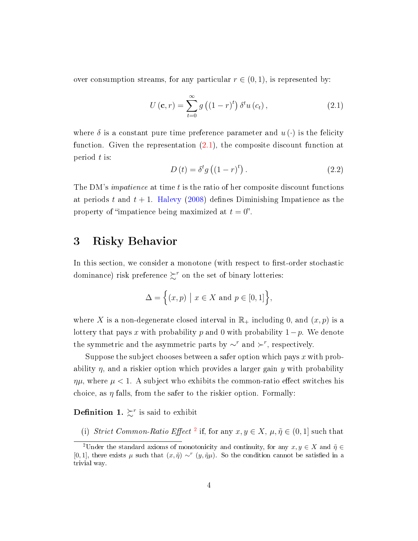over consumption streams, for any particular  $r \in (0, 1)$ , is represented by:

<span id="page-3-1"></span>
$$
U\left(\mathbf{c},r\right) = \sum_{t=0}^{\infty} g\left(\left(1-r\right)^{t}\right) \delta^{t} u\left(c_{t}\right),\tag{2.1}
$$

where  $\delta$  is a constant pure time preference parameter and  $u(\cdot)$  is the felicity function. Given the representation [\(2.1\)](#page-3-1), the composite discount function at period t is:

<span id="page-3-3"></span>
$$
D(t) = \delta^t g\left((1-r)^t\right). \tag{2.2}
$$

The DM's *impatience* at time t is the ratio of her composite discount functions at periods t and  $t + 1$ . [Halevy](#page-20-5) [\(2008\)](#page-20-5) defines Diminishing Impatience as the property of "impatience being maximized at  $t = 0$ ".

### <span id="page-3-0"></span>3 Risky Behavior

In this section, we consider a monotone (with respect to first-order stochastic dominance) risk preference  $\sum^r$  on the set of binary lotteries:

$$
\Delta = \Big\{ (x, p) \mid x \in X \text{ and } p \in [0, 1] \Big\},\
$$

where X is a non-degenerate closed interval in  $\mathbb{R}_+$  including 0, and  $(x, p)$  is a lottery that pays x with probability p and 0 with probability  $1-p$ . We denote the symmetric and the asymmetric parts by  $\sim^r$  and  $\succ^r$ , respectively.

Suppose the subject chooses between a safer option which pays  $x$  with probability  $\eta$ , and a riskier option which provides a larger gain y with probability  $\eta\mu$ , where  $\mu < 1$ . A subject who exhibits the common-ratio effect switches his choice, as  $\eta$  falls, from the safer to the riskier option. Formally:

**Definition 1.**  $\succsim^r$  is said to exhibit

(i) Strict Common-Ratio Effect<sup>[2](#page-3-2)</sup> if, for any  $x, y \in X$ ,  $\mu, \tilde{\eta} \in (0, 1]$  such that

<span id="page-3-2"></span><sup>&</sup>lt;sup>2</sup>Under the standard axioms of monotonicity and continuity, for any  $x, y \in X$  and  $\tilde{\eta} \in$ [0, 1], there exists  $\mu$  such that  $(x, \tilde{\eta}) \sim^r (y, \tilde{\eta}\mu)$ . So the condition cannot be satisfied in a trivial way.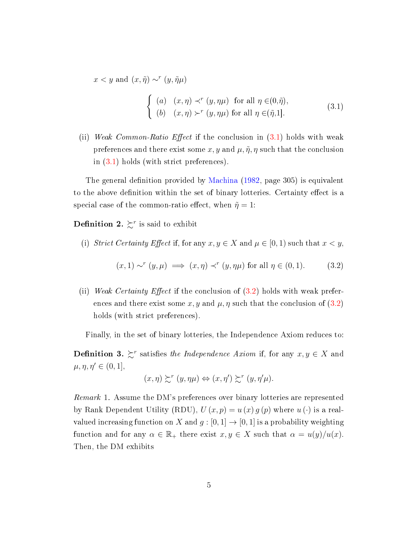$x < y$  and  $(x, \tilde{\eta}) \sim^{r} (y, \tilde{\eta} \mu)$ 

<span id="page-4-1"></span>
$$
\begin{cases}\n(a) & (x, \eta) \prec^r (y, \eta \mu) \text{ for all } \eta \in (0, \tilde{\eta}), \\
(b) & (x, \eta) \succ^r (y, \eta \mu) \text{ for all } \eta \in (\tilde{\eta}, 1].\n\end{cases}
$$
\n(3.1)

(ii) Weak Common-Ratio Effect if the conclusion in  $(3.1)$  holds with weak preferences and there exist some x, y and  $\mu$ ,  $\tilde{\eta}$ ,  $\eta$  such that the conclusion in [\(3.1\)](#page-4-1) holds (with strict preferences).

The general definition provided by [Machina](#page-20-6)  $(1982, \text{ page } 305)$  $(1982, \text{ page } 305)$  is equivalent to the above definition within the set of binary lotteries. Certainty effect is a special case of the common-ratio effect, when  $\tilde{\eta} = 1$ :

**Definition 2.**  $\succsim^r$  is said to exhibit

(i) Strict Certainty Effect if, for any  $x, y \in X$  and  $\mu \in [0, 1)$  such that  $x < y$ ,

<span id="page-4-2"></span>
$$
(x,1) \sim^r (y,\mu) \implies (x,\eta) \prec^r (y,\eta\mu) \text{ for all } \eta \in (0,1). \tag{3.2}
$$

(ii) Weak Certainty Effect if the conclusion of  $(3.2)$  holds with weak preferences and there exist some x, y and  $\mu$ ,  $\eta$  such that the conclusion of [\(3.2\)](#page-4-2) holds (with strict preferences).

Finally, in the set of binary lotteries, the Independence Axiom reduces to:

**Definition 3.**  $\succeq^r$  satisfies the Independence Axiom if, for any  $x, y \in X$  and  $\mu, \eta, \eta' \in (0,1],$ 

$$
(x,\eta) \succsim^{r} (y,\eta\mu) \Leftrightarrow (x,\eta') \succsim^{r} (y,\eta'\mu).
$$

<span id="page-4-0"></span>Remark 1. Assume the DM's preferences over binary lotteries are represented by Rank Dependent Utility (RDU),  $U(x, p) = u(x) g(p)$  where  $u(\cdot)$  is a realvalued increasing function on X and  $g : [0,1] \to [0,1]$  is a probability weighting function and for any  $\alpha \in \mathbb{R}_+$  there exist  $x, y \in X$  such that  $\alpha = u(y)/u(x)$ . Then, the DM exhibits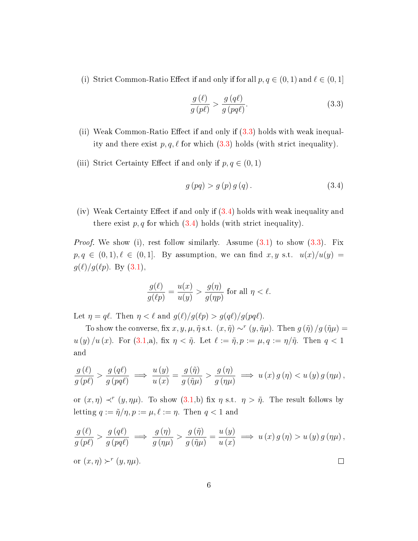(i) Strict Common-Ratio Effect if and only if for all  $p, q \in (0, 1)$  and  $\ell \in (0, 1]$ 

<span id="page-5-0"></span>
$$
\frac{g(\ell)}{g(p\ell)} > \frac{g(q\ell)}{g(pq\ell)}.\tag{3.3}
$$

- (ii) Weak Common-Ratio Effect if and only if  $(3.3)$  holds with weak inequality and there exist  $p, q, \ell$  for which [\(3.3\)](#page-5-0) holds (with strict inequality).
- (iii) Strict Certainty Effect if and only if  $p, q \in (0, 1)$

<span id="page-5-1"></span>
$$
g(pq) > g(p) g(q).
$$
 (3.4)

(iv) Weak Certainty Effect if and only if  $(3.4)$  holds with weak inequality and there exist  $p, q$  for which  $(3.4)$  holds (with strict inequality).

*Proof.* We show (i), rest follow similarly. Assume  $(3.1)$  to show  $(3.3)$ . Fix  $p, q \in (0, 1), \ell \in (0, 1].$  By assumption, we can find  $x, y$  s.t.  $u(x)/u(y) =$  $g(\ell)/g(\ell p)$ . By  $(3.1)$ ,

$$
\frac{g(\ell)}{g(\ell p)} = \frac{u(x)}{u(y)} > \frac{g(\eta)}{g(\eta p)}
$$
 for all  $\eta < \ell$ .

Let  $\eta = q\ell$ . Then  $\eta < \ell$  and  $g(\ell)/g(\ell p) > g(q\ell)/g(pq\ell)$ .

To show the converse, fix  $x, y, \mu, \tilde{\eta}$  s.t.  $(x, \tilde{\eta}) \sim^r (y, \tilde{\eta}\mu)$ . Then  $g(\tilde{\eta})/g(\tilde{\eta}\mu) =$  $u(y)/u(x)$ . For  $(3.1,a)$  $(3.1,a)$ , fix  $\eta < \tilde{\eta}$ . Let  $\ell := \tilde{\eta}, p := \mu, q := \eta/\tilde{\eta}$ . Then  $q < 1$ and

$$
\frac{g(\ell)}{g(p\ell)} > \frac{g(q\ell)}{g(pq\ell)} \implies \frac{u(y)}{u(x)} = \frac{g(\tilde{\eta})}{g(\tilde{\eta}\mu)} > \frac{g(\eta)}{g(\eta\mu)} \implies u(x)g(\eta) < u(y)g(\eta\mu),
$$

or  $(x, \eta) \prec^r (y, \eta \mu)$ . To show  $(3.1,b)$  $(3.1,b)$  fix  $\eta$  s.t.  $\eta > \tilde{\eta}$ . The result follows by letting  $q := \tilde{\eta}/\eta, p := \mu, \ell := \eta$ . Then  $q < 1$  and

$$
\frac{g(\ell)}{g(p\ell)} > \frac{g(q\ell)}{g(pq\ell)} \implies \frac{g(\eta)}{g(\eta\mu)} > \frac{g(\tilde{\eta})}{g(\tilde{\eta}\mu)} = \frac{u(y)}{u(x)} \implies u(x)g(\eta) > u(y)g(\eta\mu),
$$
  
or  $(x, \eta) \succ^r (y, \eta\mu).$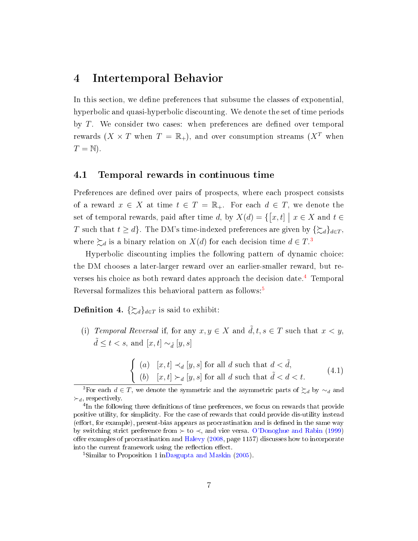### <span id="page-6-0"></span>4 Intertemporal Behavior

In this section, we define preferences that subsume the classes of exponential, hyperbolic and quasi-hyperbolic discounting. We denote the set of time periods by  $T$ . We consider two cases: when preferences are defined over temporal rewards  $(X \times T$  when  $T = \mathbb{R}_+$ ), and over consumption streams  $(X^T$  when  $T = N$ ).

### 4.1 Temporal rewards in continuous time

Preferences are defined over pairs of prospects, where each prospect consists of a reward  $x \in X$  at time  $t \in T = \mathbb{R}_+$ . For each  $d \in T$ , we denote the set of temporal rewards, paid after time d, by  $X(d) = \{ [x, t] \mid x \in X \text{ and } t \in$ T such that  $t \geq d$ . The DM's time-indexed preferences are given by  $\{\sum_{d}d_{d\in T},$ where  $\succsim_d$  is a binary relation on  $X(d)$  for each decision time  $d \in T$ .<sup>[3](#page-6-1)</sup>

Hyperbolic discounting implies the following pattern of dynamic choice: the DM chooses a later-larger reward over an earlier-smaller reward, but re-verses his choice as both reward dates approach the decision date.<sup>[4](#page-6-2)</sup> Temporal Reversal formalizes this behavioral pattern as follows:[5](#page-6-3)

<span id="page-6-4"></span>**Definition 4.**  $\{\sum d\}_{d\in T}$  is said to exhibit:

(i) Temporal Reversal if, for any  $x, y \in X$  and  $\tilde{d}, t, s \in T$  such that  $x < y$ ,  $\tilde{d} \leq t < s$ , and  $[x, t] \sim_{\tilde{d}} [y, s]$ 

<span id="page-6-5"></span>
$$
\begin{cases}\n(a) & [x,t] \prec_d [y,s] \text{ for all } d \text{ such that } d < \tilde{d}, \\
(b) & [x,t] \succ_d [y,s] \text{ for all } d \text{ such that } \tilde{d} < d < t.\n\end{cases}
$$
\n(4.1)

<span id="page-6-1"></span><sup>&</sup>lt;sup>3</sup>For each  $d \in T$ , we denote the symmetric and the asymmetric parts of  $\succsim_d$  by  $\sim_d$  and  $\succ_d$ , respectively.

<span id="page-6-2"></span><sup>&</sup>lt;sup>4</sup>In the following three definitions of time preferences, we focus on rewards that provide positive utility, for simplicity. For the case of rewards that could provide dis-utility instead  $($ effort, for example), present-bias appears as procrastination and is defined in the same way by switching strict preference from  $\succ$  to  $\prec$ , and vice versa. [O'Donoghue and Rabin](#page-20-7) [\(1999\)](#page-20-7) offer examples of procrastination and [Halevy](#page-20-5)  $(2008, \text{page } 1157)$  $(2008, \text{page } 1157)$  discusses how to incorporate into the current framework using the reflection effect.

<span id="page-6-3"></span><sup>&</sup>lt;sup>5</sup>Similar to Proposition 1 i[nDasgupta and Maskin](#page-20-8)  $(2005)$ .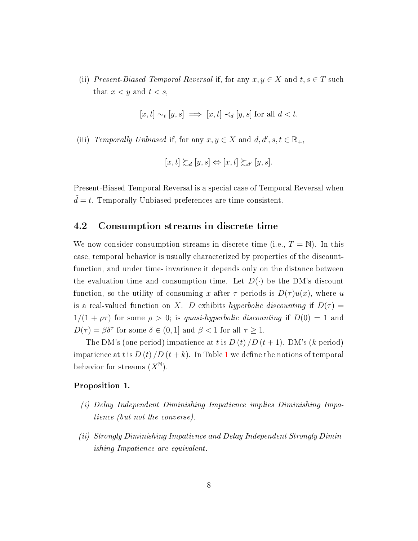(ii) Present-Biased Temporal Reversal if, for any  $x, y \in X$  and  $t, s \in T$  such that  $x < y$  and  $t < s$ ,

$$
[x,t] \sim_t [y,s] \implies [x,t] \prec_d [y,s] \text{ for all } d < t.
$$

(iii) Temporally Unbiased if, for any  $x, y \in X$  and  $d, d', s, t \in \mathbb{R}_+$ ,

$$
[x,t] \succsim_d [y,s] \Leftrightarrow [x,t] \succsim_{d'} [y,s].
$$

Present-Biased Temporal Reversal is a special case of Temporal Reversal when  $d = t$ . Temporally Unbiased preferences are time consistent.

### 4.2 Consumption streams in discrete time

We now consider consumption streams in discrete time (i.e.,  $T = N$ ). In this case, temporal behavior is usually characterized by properties of the discountfunction, and under time- invariance it depends only on the distance between the evaluation time and consumption time. Let  $D(\cdot)$  be the DM's discount function, so the utility of consuming x after  $\tau$  periods is  $D(\tau)u(x)$ , where u is a real-valued function on X. D exhibits hyperbolic discounting if  $D(\tau) =$  $1/(1 + \rho\tau)$  for some  $\rho > 0$ ; is quasi-hyperbolic discounting if  $D(0) = 1$  and  $D(\tau) = \beta \delta^{\tau}$  for some  $\delta \in (0, 1]$  and  $\beta < 1$  for all  $\tau \geq 1$ .

The DM's (one period) impatience at t is  $D(t)/D(t+1)$ . DM's (k period) impatience at t is  $D(t)/D(t+k)$ . In Table [1](#page-8-0) we define the notions of temporal behavior for streams  $(X^{\mathbb{N}})$ .

#### Proposition 1.

- (i) Delay Independent Diminishing Impatience implies Diminishing Impatience (but not the converse).
- (ii) Strongly Diminishing Impatience and Delay Independent Strongly Diminishing Impatience are equivalent.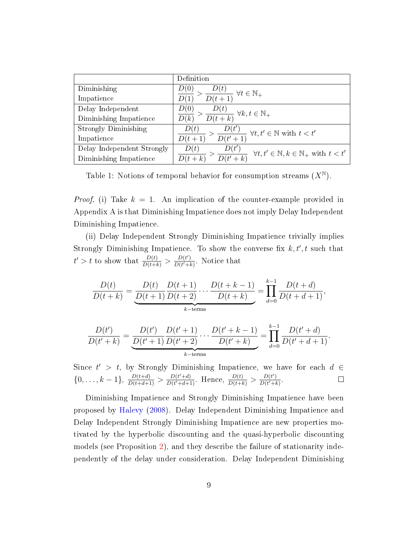|                             | Definition                                                                               |
|-----------------------------|------------------------------------------------------------------------------------------|
| Diminishing                 | D(0)<br>$\frac{D(t)}{D(t+1)} \forall t \in \mathbb{N}_+$                                 |
| Impatience                  |                                                                                          |
| Delay Independent           | D(0)                                                                                     |
| Diminishing Impatience      | $\frac{D(t)}{D(t+k)} \ \forall k, t \in \mathbb{N}_+$<br>D(k)                            |
| <b>Strongly Diminishing</b> | D(t)                                                                                     |
| Impatience                  | $\frac{D(t')}{D(t'+1)} \,\,\forall t,t' \in \mathbb{N} \text{ with } t < t'$<br>$D(t+1)$ |
| Delay Independent Strongly  | D(t)<br>$\forall t, t' \in \mathbb{N}, k \in \mathbb{N}_+$ with $t < t'$                 |
| Diminishing Impatience      |                                                                                          |

<span id="page-8-0"></span>Table 1: Notions of temporal behavior for consumption streams  $(X^{\mathbb{N}})$ .

*Proof.* (i) Take  $k = 1$ . An implication of the counter-example provided in Appendix A is that Diminishing Impatience does not imply Delay Independent Diminishing Impatience.

(ii) Delay Independent Strongly Diminishing Impatience trivially implies Strongly Diminishing Impatience. To show the converse fix  $k, t', t$  such that  $t' > t$  to show that  $\frac{D(t)}{D(t+k)} > \frac{D(t')}{D(t'+k)}$  $\frac{D(t')}{D(t'+k)}$ . Notice that

$$
\frac{D(t)}{D(t+k)} = \underbrace{\frac{D(t)}{D(t+1)} \frac{D(t+1)}{D(t+2)} \cdots \frac{D(t+k-1)}{D(t+k)}}_{k-\text{terms}} = \prod_{d=0}^{k-1} \frac{D(t+d)}{D(t+d+1)},
$$

$$
\frac{D(t')}{D(t'+k)} = \underbrace{\frac{D(t')}{D(t'+1)} \frac{D(t'+1)}{D(t'+2)}}_{k-\text{terms}} \dots \frac{D(t'+k-1)}{D(t'+k)} = \prod_{d=0}^{k-1} \frac{D(t'+d)}{D(t'+d+1)}.
$$

Since  $t' > t$ , by Strongly Diminishing Impatience, we have for each  $d \in$  $\{0,\ldots,k-1\},\ \frac{D(t+d)}{D(t+d+1)} > \frac{D(t'+d)}{D(t'+d+1)}$  $\frac{D(t'+d)}{D(t'+d+1)}$ . Hence,  $\frac{D(t)}{D(t+k)} > \frac{D(t')}{D(t'+k)}$  $\frac{D(t')}{D(t'+k)}$ .

Diminishing Impatience and Strongly Diminishing Impatience have been proposed by [Halevy](#page-20-5) [\(2008\)](#page-20-5). Delay Independent Diminishing Impatience and Delay Independent Strongly Diminishing Impatience are new properties motivated by the hyperbolic discounting and the quasi-hyperbolic discounting models (see Proposition [2\)](#page-9-0), and they describe the failure of stationarity independently of the delay under consideration. Delay Independent Diminishing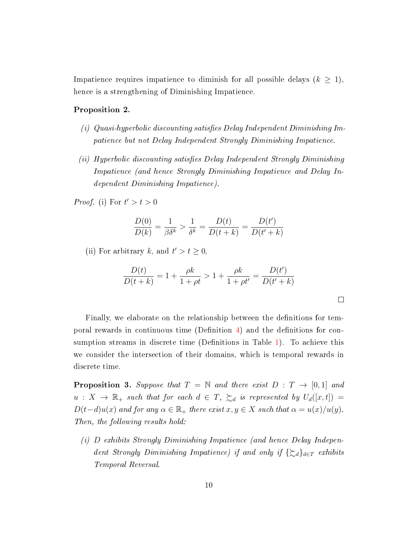Impatience requires impatience to diminish for all possible delays  $(k \geq 1)$ , hence is a strengthening of Diminishing Impatience.

#### <span id="page-9-0"></span>Proposition 2.

- (i) Quasi-hyperbolic discounting satisfies Delay Independent Diminishing Impatience but not Delay Independent Strongly Diminishing Impatience.
- $(iii)$  Hyperbolic discounting satisfies Delay Independent Strongly Diminishing Impatience (and hence Strongly Diminishing Impatience and Delay Independent Diminishing Impatience).

*Proof.* (i) For  $t' > t > 0$ 

$$
\frac{D(0)}{D(k)} = \frac{1}{\beta \delta^k} > \frac{1}{\delta^k} = \frac{D(t)}{D(t+k)} = \frac{D(t')}{D(t'+k)}
$$

(ii) For arbitrary k, and  $t' > t \geq 0$ ,

$$
\frac{D(t)}{D(t+k)} = 1 + \frac{\rho k}{1+\rho t} > 1 + \frac{\rho k}{1+\rho t'} = \frac{D(t')}{D(t'+k)}
$$

 $\Box$ 

Finally, we elaborate on the relationship between the definitions for temporal rewards in continuous time (Definition  $\overline{4}$ ) and the definitions for con-sumption streams in discrete time (Definitions in Table [1\)](#page-8-0). To achieve this we consider the intersection of their domains, which is temporal rewards in discrete time.

<span id="page-9-1"></span>**Proposition 3.** Suppose that  $T = \mathbb{N}$  and there exist  $D : T \rightarrow [0,1]$  and  $u: X \to \mathbb{R}_+$  such that for each  $d \in T$ ,  $\succsim_d$  is represented by  $U_d([x,t]) =$  $D(t-d)u(x)$  and for any  $\alpha \in \mathbb{R}_+$  there exist  $x, y \in X$  such that  $\alpha = u(x)/u(y)$ . Then, the following results hold:

(i) D exhibits Strongly Diminishing Impatience (and hence Delay Independent Strongly Diminishing Impatience) if and only if  $\{\gtrsim_d\}_{d\in\mathcal{T}}$  exhibits Temporal Reversal.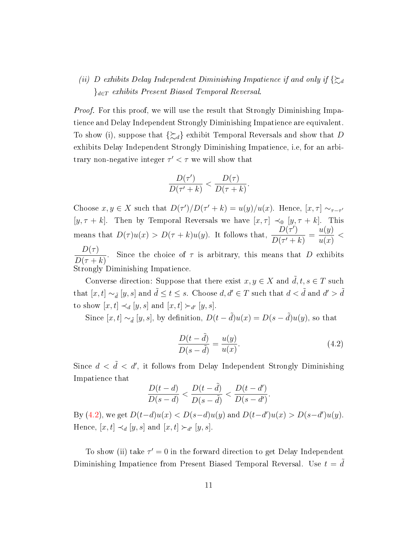### (ii) D exhibits Delay Independent Diminishing Impatience if and only if  $\{\gtrsim_d\}$  ${e_T \xrightarrow{exhibits} Present \ Biased \ Temporal \ Reversal.}$

Proof. For this proof, we will use the result that Strongly Diminishing Impatience and Delay Independent Strongly Diminishing Impatience are equivalent. To show (i), suppose that  $\{\gtrsim_d\}$  exhibit Temporal Reversals and show that D exhibits Delay Independent Strongly Diminishing Impatience, i.e, for an arbitrary non-negative integer  $\tau' < \tau$  we will show that

$$
\frac{D(\tau')}{D(\tau'+k)} < \frac{D(\tau)}{D(\tau+k)}.
$$

Choose  $x, y \in X$  such that  $D(\tau')/D(\tau' + k) = u(y)/u(x)$ . Hence,  $[x, \tau] \sim_{\tau-\tau'}$ [y,  $\tau + k$ ]. Then by Temporal Reversals we have  $[x, \tau] \prec_0 [y, \tau + k]$ . This means that  $D(\tau)u(x) > D(\tau + k)u(y)$ . It follows that,  $\frac{D(\tau)}{D(\tau)}$  $\frac{D(r)}{D(r'+k)}$  =  $u(y)$  $u(x)$  $\lt$  $D(\tau)$ 

 $D(\tau + k)$ . Since the choice of  $\tau$  is arbitrary, this means that D exhibits Strongly Diminishing Impatience.

Converse direction: Suppose that there exist  $x, y \in X$  and  $\tilde{d}, t, s \in T$  such that  $[x, t] \sim_{\tilde{d}} [y, s]$  and  $\tilde{d} \le t \le s$ . Choose  $d, d' \in T$  such that  $d < \tilde{d}$  and  $d' > \tilde{d}$ to show  $[x, t] \prec_d [y, s]$  and  $[x, t] \succ_{d'} [y, s]$ .

Since  $[x, t] \sim_{\tilde{d}} [y, s]$ , by definition,  $D(t - \tilde{d})u(x) = D(s - \tilde{d})u(y)$ , so that

<span id="page-10-0"></span>
$$
\frac{D(t-\tilde{d})}{D(s-\tilde{d})} = \frac{u(y)}{u(x)}.\t(4.2)
$$

Since  $d < \tilde{d} < d'$ , it follows from Delay Independent Strongly Diminishing Impatience that

$$
\frac{D(t-d)}{D(s-d)} < \frac{D(t-\tilde{d})}{D(s-\tilde{d})} < \frac{D(t-d')}{D(s-d')}.
$$

By [\(4.2\)](#page-10-0), we get  $D(t-d)u(x) < D(s-d)u(y)$  and  $D(t-d')u(x) > D(s-d')u(y)$ . Hence,  $[x, t] \prec_d [y, s]$  and  $[x, t] \succ_{d'} [y, s]$ .

To show (ii) take  $\tau' = 0$  in the forward direction to get Delay Independent Diminishing Impatience from Present Biased Temporal Reversal. Use  $t = \tilde{d}$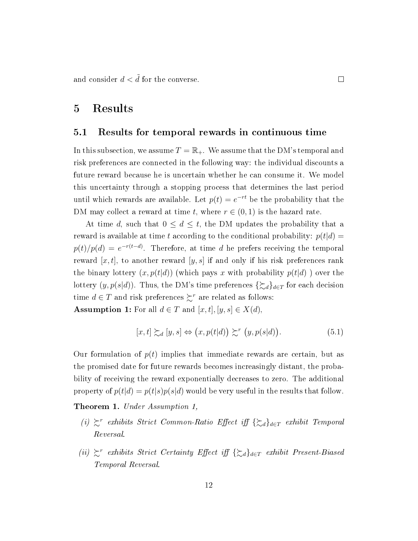and consider  $d < d$  for the converse.

# <span id="page-11-0"></span>5 Results

### <span id="page-11-2"></span>5.1 Results for temporal rewards in continuous time

In this subsection, we assume  $T = \mathbb{R}_+$ . We assume that the DM's temporal and risk preferences are connected in the following way: the individual discounts a future reward because he is uncertain whether he can consume it. We model this uncertainty through a stopping process that determines the last period until which rewards are available. Let  $p(t) = e^{-rt}$  be the probability that the DM may collect a reward at time t, where  $r \in (0,1)$  is the hazard rate.

At time d, such that  $0 \leq d \leq t$ , the DM updates the probability that a reward is available at time t according to the conditional probability:  $p(t|d)$  =  $p(t)/p(d) = e^{-r(t-d)}$ . Therefore, at time d he prefers receiving the temporal reward  $[x, t]$ , to another reward  $[y, s]$  if and only if his risk preferences rank the binary lottery  $(x, p(t|d))$  (which pays x with probability  $p(t|d)$ ) over the lottery  $(y, p(s|d))$ . Thus, the DM's time preferences  $\{\gtrsim_d\}_{d\in\mathcal{T}}$  for each decision time  $d \in T$  and risk preferences  $\succsim^r$  are related as follows:

Assumption 1: For all  $d \in T$  and  $[x, t], [y, s] \in X(d)$ ,

$$
[x,t] \succsim_d [y,s] \Leftrightarrow (x,p(t|d)) \succsim^r (y,p(s|d)). \tag{5.1}
$$

Our formulation of  $p(t)$  implies that immediate rewards are certain, but as the promised date for future rewards becomes increasingly distant, the probability of receiving the reward exponentially decreases to zero. The additional property of  $p(t|d) = p(t|s)p(s|d)$  would be very useful in the results that follow.

<span id="page-11-1"></span>**Theorem 1.** Under Assumption 1,

- (i)  $\succeq^r$  exhibits Strict Common-Ratio Effect iff { $\succeq_d$ }<sub>d∈T</sub> exhibit Temporal Reversal.
- (ii)  $\succeq^r$  exhibits Strict Certainty Effect iff { $\succeq_d$ }<sub>d∈T</sub> exhibit Present-Biased Temporal Reversal.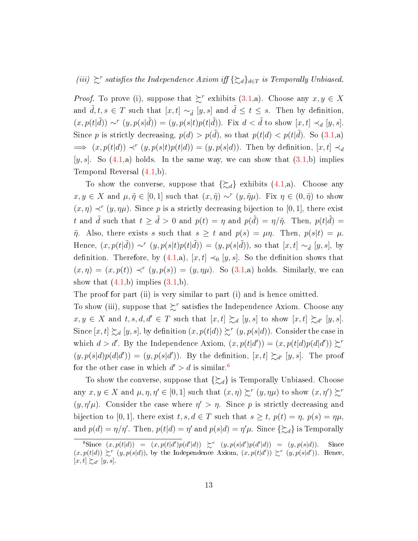(iii)  $\succeq^r$  satisfies the Independence Axiom iff { $\succeq_d$ }<sub>d∈T</sub> is Temporally Unbiased.

*Proof.* To prove (i), suppose that  $\sum^r$  exhibits [\(3.1,](#page-4-1)a). Choose any  $x, y \in X$ and  $\tilde{d}, t, s \in T$  such that  $[x, t] \sim_{\tilde{d}} [y, s]$  and  $\tilde{d} \leq t \leq s$ . Then by definition,  $(x, p(t|\tilde{d})) \sim^{r} (y, p(s|\tilde{d})) = (y, p(s|t)p(t|\tilde{d}))$ . Fix  $d < \tilde{d}$  to show  $[x, t] \prec_{d} [y, s]$ . Since p is strictly decreasing,  $p(d) > p(\tilde{d})$ , so that  $p(t|d) < p(t|\tilde{d})$ . So  $(3.1,a)$  $(3.1,a)$  $\implies (x, p(t|d)) \prec^r (y, p(s|t)p(t|d)) = (y, p(s|d)).$  Then by definition,  $[x, t] \prec_d$  $[y, s]$ . So  $(4.1,a)$  $(4.1,a)$  holds. In the same way, we can show that  $(3.1,b)$  $(3.1,b)$  implies Temporal Reversal [\(4.1,](#page-6-5)b).

To show the converse, suppose that  $\{\gtrsim_d\}$  exhibits  $(4.1,a)$  $(4.1,a)$ . Choose any  $x, y \in X$  and  $\mu, \tilde{\eta} \in [0, 1]$  such that  $(x, \tilde{\eta}) \sim^r (y, \tilde{\eta}\mu)$ . Fix  $\eta \in (0, \tilde{\eta})$  to show  $(x, \eta) \prec^r (y, \eta)$ . Since p is a strictly decreasing bijection to [0,1], there exist t and  $\tilde{d}$  such that  $t \geq \tilde{d} > 0$  and  $p(t) = \eta$  and  $p(\tilde{d}) = \eta/\tilde{\eta}$ . Then,  $p(t|\tilde{d}) =$  $\tilde{\eta}$ . Also, there exists s such that  $s \geq t$  and  $p(s) = \mu \eta$ . Then,  $p(s|t) = \mu$ . Hence,  $(x, p(t|\tilde{d})) \sim^r (y, p(s|t)p(t|\tilde{d})) = (y, p(s|\tilde{d}))$ , so that  $[x, t] \sim_{\tilde{d}} [y, s]$ , by definition. Therefore, by  $(4.1,a)$  $(4.1,a)$ ,  $[x,t] \prec_0 [y,s]$ . So the definition shows that  $(x, \eta) = (x, p(t)) \prec^r (y, p(s)) = (y, \eta\mu)$ . So  $(3.1,a)$  $(3.1,a)$  holds. Similarly, we can show that  $(4.1,b)$  $(4.1,b)$  implies  $(3.1,b)$  $(3.1,b)$ .

The proof for part (ii) is very similar to part (i) and is hence omitted.

To show (iii), suppose that  $\succsim^r$  satisfies the Independence Axiom. Choose any  $x, y \in X$  and  $t, s, d, d' \in T$  such that  $[x, t] \succsim d [y, s]$  to show  $[x, t] \succsim_{d'} [y, s]$ . Since  $[x,t] \succsim_d [y,s]$ , by definition  $(x, p(t|d)) \succsim^r (y, p(s|d))$ . Consider the case in which  $d > d'$ . By the Independence Axiom,  $(x, p(t|d')) = (x, p(t|d)p(d|d')) \succeq^r$  $(y, p(s|d)p(d|d')) = (y, p(s|d'))$ . By the definition,  $[x, t] \succeq_{d'} [y, s]$ . The proof for the other case in which  $d' > d$  is similar.<sup>[6](#page-12-0)</sup>

To show the converse, suppose that  $\{\gtrsim_d\}$  is Temporally Unbiased. Choose any  $x, y \in X$  and  $\mu, \eta, \eta' \in [0, 1]$  such that  $(x, \eta) \succsim^r (y, \eta \mu)$  to show  $(x, \eta') \succsim^r$  $(y, \eta'\mu)$ . Consider the case where  $\eta' > \eta$ . Since p is strictly decreasing and bijection to [0, 1], there exist  $t, s, d \in T$  such that  $s \geq t$ ,  $p(t) = \eta$ ,  $p(s) = \eta \mu$ , and  $p(d) = \eta/\eta'$ . Then,  $p(t|d) = \eta'$  and  $p(s|d) = \eta'\mu$ . Since  $\{\gtrsim_d\}$  is Temporally

<span id="page-12-0"></span><sup>&</sup>lt;sup>6</sup>Since  $(x, p(t|d)) = (x, p(t|d')p(d'|d)) \geq^r (y, p(s|d')p(d'|d)) = (y, p(s|d)).$  Since  $(x, p(t|d)) \succeq^r (y, p(s|d))$ , by the Independence Axiom,  $(x, p(t|d')) \succeq^r (y, p(s|d'))$ . Hence,  $[x, t] \succsim_{d'} [y, s].$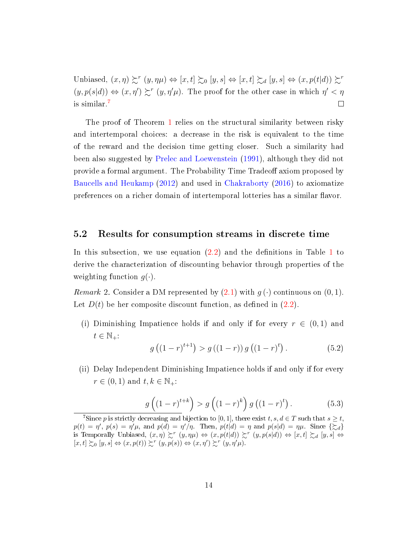Unbiased,  $(x, \eta) \succsim^r (y, \eta \mu) \Leftrightarrow [x, t] \succsim_0 [y, s] \Leftrightarrow [x, t] \succsim_d [y, s] \Leftrightarrow (x, p(t|d)) \succsim^r$  $(y, p(s|d)) \Leftrightarrow (x, \eta') \succsim^r (y, \eta'\mu)$ . The proof for the other case in which  $\eta' < \eta$ is similar.[7](#page-13-0)  $\Box$ 

The proof of Theorem [1](#page-11-1) relies on the structural similarity between risky and intertemporal choices: a decrease in the risk is equivalent to the time of the reward and the decision time getting closer. Such a similarity had been also suggested by [Prelec and Loewenstein](#page-20-3) [\(1991\)](#page-20-3), although they did not provide a formal argument. The Probability Time Tradeoff axiom proposed by [Baucells and Heukamp](#page-20-4) [\(2012\)](#page-20-4) and used in [Chakraborty](#page-20-9) [\(2016\)](#page-20-9) to axiomatize preferences on a richer domain of intertemporal lotteries has a similar flavor.

### 5.2 Results for consumption streams in discrete time

In this subsection, we use equation  $(2.2)$  and the definitions in Table [1](#page-8-0) to derive the characterization of discounting behavior through properties of the weighting function  $g(\cdot)$ .

<span id="page-13-3"></span>*Remark* 2. Consider a DM represented by  $(2.1)$  with  $q(\cdot)$  continuous on  $(0, 1)$ . Let  $D(t)$  be her composite discount function, as defined in  $(2.2)$ .

(i) Diminishing Impatience holds if and only if for every  $r \in (0,1)$  and  $t \in \mathbb{N}_+$ :

<span id="page-13-2"></span>
$$
g((1-r)^{t+1}) > g((1-r)) g((1-r)^{t}). \qquad (5.2)
$$

(ii) Delay Independent Diminishing Impatience holds if and only if for every  $r \in (0,1)$  and  $t, k \in \mathbb{N}_+$ :

<span id="page-13-1"></span>
$$
g\left((1-r)^{t+k}\right) > g\left((1-r)^{k}\right)g\left((1-r)^{t}\right). \tag{5.3}
$$

<span id="page-13-0"></span><sup>&</sup>lt;sup>7</sup>Since p is strictly decreasing and bijection to [0, 1], there exist  $t, s, d \in T$  such that  $s \geq t$ ,  $p(t) = \eta'$ ,  $p(s) = \eta' \mu$ , and  $p(d) = \eta'/\eta$ . Then,  $p(t|d) = \eta$  and  $p(s|d) = \eta \mu$ . Since  $\{\gtrsim_d\}$ is Temporally Unbiased,  $(x, \eta) \succsim^r (y, \eta \mu) \Leftrightarrow (x, p(t|d)) \succsim^r (y, p(s|d)) \Leftrightarrow [x, t] \succsim_d [y, s] \Leftrightarrow$  $[x, t] \succsim_0 [y, s] \Leftrightarrow (x, p(t)) \succsim^r (y, p(s)) \Leftrightarrow (x, \eta') \succsim^r (y, \eta'\mu).$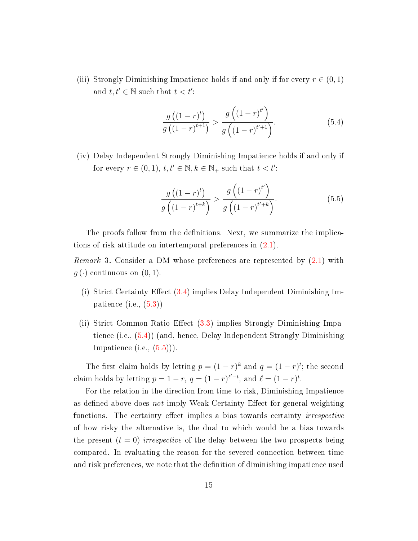(iii) Strongly Diminishing Impatience holds if and only if for every  $r \in (0, 1)$ and  $t, t' \in \mathbb{N}$  such that  $t < t'$ :

<span id="page-14-0"></span>
$$
\frac{g((1-r)^{t})}{g((1-r)^{t+1})} > \frac{g((1-r)^{t'})}{g((1-r)^{t'+1})}.
$$
\n(5.4)

(iv) Delay Independent Strongly Diminishing Impatience holds if and only if for every  $r \in (0,1)$ ,  $t, t' \in \mathbb{N}$ ,  $k \in \mathbb{N}_+$  such that  $t < t'$ :

<span id="page-14-1"></span>
$$
\frac{g((1-r)^{t})}{g((1-r)^{t+k})} > \frac{g((1-r)^{t'})}{g((1-r)^{t'+k})}.
$$
\n(5.5)

The proofs follow from the definitions. Next, we summarize the implications of risk attitude on intertemporal preferences in  $(2.1)$ .

<span id="page-14-2"></span>Remark 3. Consider a DM whose preferences are represented by [\(2.1\)](#page-3-1) with  $g(\cdot)$  continuous on  $(0, 1)$ .

- (i) Strict Certainty Effect  $(3.4)$  implies Delay Independent Diminishing Impatience  $(i.e., (5.3))$  $(i.e., (5.3))$  $(i.e., (5.3))$
- (ii) Strict Common-Ratio Effect  $(3.3)$  implies Strongly Diminishing Impatience (i.e., [\(5.4\)](#page-14-0)) (and, hence, Delay Independent Strongly Diminishing Impatience  $(i.e., (5.5))$  $(i.e., (5.5))$  $(i.e., (5.5))$ .

The first claim holds by letting  $p = (1 - r)^k$  and  $q = (1 - r)^t$ ; the second claim holds by letting  $p = 1 - r$ ,  $q = (1 - r)^{t'-t}$ , and  $\ell = (1 - r)^t$ .

For the relation in the direction from time to risk, Diminishing Impatience as defined above does not imply Weak Certainty Effect for general weighting functions. The certainty effect implies a bias towards certainty *irrespective* of how risky the alternative is, the dual to which would be a bias towards the present  $(t = 0)$  irrespective of the delay between the two prospects being compared. In evaluating the reason for the severed connection between time and risk preferences, we note that the definition of diminishing impatience used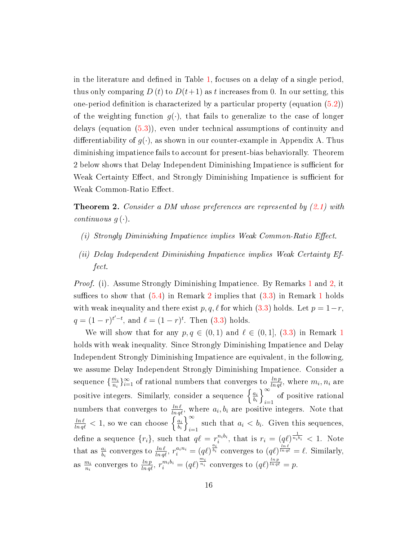in the literature and defined in Table  $1$ , focuses on a delay of a single period, thus only comparing D (t) to  $D(t+1)$  as t increases from 0. In our setting, this one-period definition is characterized by a particular property (equation  $(5.2)$ ) of the weighting function  $g(\cdot)$ , that fails to generalize to the case of longer delays (equation [\(5.3\)](#page-13-1)), even under technical assumptions of continuity and differentiability of  $g(\cdot)$ , as shown in our counter-example in Appendix A. Thus diminishing impatience fails to account for present-bias behaviorally. Theorem 2 below shows that Delay Independent Diminishing Impatience is sufficient for Weak Certainty Effect, and Strongly Diminishing Impatience is sufficient for Weak Common-Ratio Effect.

<span id="page-15-0"></span>**Theorem 2.** Consider a DM whose preferences are represented by  $(2.1)$  with continuous  $q(\cdot)$ .

- (i) Strongly Diminishing Impatience implies Weak Common-Ratio Effect.
- (ii) Delay Independent Diminishing Impatience implies Weak Certainty Effect.

*Proof.* (i). Assume Strongly Diminishing Impatience. By Remarks [1](#page-4-0) and [2,](#page-13-3) it suffices to show that  $(5.4)$  in Remark [2](#page-13-3) implies that  $(3.3)$  in Remark [1](#page-4-0) holds with weak inequality and there exist  $p, q, \ell$  for which [\(3.3\)](#page-5-0) holds. Let  $p = 1-r$ ,  $q = (1 - r)^{t'-t}$ , and  $\ell = (1 - r)^t$ . Then [\(3.3\)](#page-5-0) holds.

We will show that for any  $p, q \in (0, 1)$  $p, q \in (0, 1)$  $p, q \in (0, 1)$  and  $\ell \in (0, 1]$ ,  $(3.3)$  in Remark 1 holds with weak inequality. Since Strongly Diminishing Impatience and Delay Independent Strongly Diminishing Impatience are equivalent, in the following, we assume Delay Independent Strongly Diminishing Impatience. Consider a sequence  $\{\frac{m_i}{n}\}$  $\frac{m_i}{n_i}\}_{i=1}^{\infty}$  of rational numbers that converges to  $\frac{\ln p}{\ln q\ell}$ , where  $m_i, n_i$  are positive integers. Similarly, consider a sequence  $\begin{cases} \frac{a_i}{b_i} \end{cases}$  $b_i$  $\int_0^\infty$  $\sum_{i=1}$  of positive rational numbers that converges to  $\frac{ln \ell}{ln q \ell}$ , where  $a_i, b_i$  are positive integers. Note that  $\frac{ln \ell}{ln q \ell} < 1$ , so we can choose  $\left\{ \frac{a_i}{b_i} \right\}$  $_{b_i}$  $\int_0^\infty$ such that  $a_i < b_i$ . Given this sequences, define a sequence  $\{r_i\}$ , such that  $q\ell = r_i^{n_i b_i}$ , that is  $r_i = (q\ell)^{\frac{1}{n_i b_i}} < 1$ . Note that as  $\frac{a_i}{b_i}$  converges to  $\frac{\ln \ell}{\ln q\ell}$ ,  $r_i^{a_i n_i} = (q\ell)^{\frac{a_i}{b_i}}$  converges to  $(q\ell)^{\frac{\ln \ell}{\ln q\ell}} = \ell$ . Similarly, as  $\frac{m_i}{n_i}$  converges to  $\frac{\ln p}{\ln q\ell}$ ,  $r_i^{m_i b_i} = (q\ell)^{\frac{m_i}{n_i}}$  converges to  $(q\ell)^{\frac{\ln p}{\ln q\ell}} = p$ .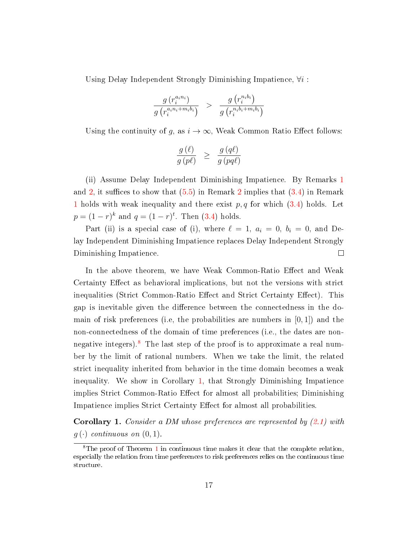Using Delay Independent Strongly Diminishing Impatience,  $\forall i$ :

$$
\frac{g\left(r_i^{a_in_i}\right)}{g\left(r_i^{a_in_i+m_ib_i}\right)} \quad > \quad \frac{g\left(r_i^{n_ib_i}\right)}{g\left(r_i^{n_ib_i+m_ib_i}\right)}
$$

Using the continuity of g, as  $i \to \infty$ , Weak Common Ratio Effect follows:

$$
\frac{g(\ell)}{g(p\ell)} \geq \frac{g(q\ell)}{g(pq\ell)}
$$

(ii) Assume Delay Independent Diminishing Impatience. By Remarks [1](#page-4-0) and [2,](#page-13-3) it suffices to show that  $(5.5)$  in Remark [2](#page-13-3) implies that  $(3.4)$  in Remark [1](#page-4-0) holds with weak inequality and there exist  $p, q$  for which  $(3.4)$  holds. Let  $p = (1 - r)^k$  and  $q = (1 - r)^t$ . Then  $(3.4)$  holds.

Part (ii) is a special case of (i), where  $\ell = 1, a_i = 0, b_i = 0$ , and Delay Independent Diminishing Impatience replaces Delay Independent Strongly Diminishing Impatience.  $\Box$ 

In the above theorem, we have Weak Common-Ratio Effect and Weak Certainty Effect as behavioral implications, but not the versions with strict inequalities (Strict Common-Ratio Effect and Strict Certainty Effect). This gap is inevitable given the difference between the connectedness in the domain of risk preferences (i.e, the probabilities are numbers in  $[0, 1]$ ) and the non-connectedness of the domain of time preferences (i.e., the dates are non-negative integers).<sup>[8](#page-16-0)</sup> The last step of the proof is to approximate a real number by the limit of rational numbers. When we take the limit, the related strict inequality inherited from behavior in the time domain becomes a weak inequality. We show in Corollary [1,](#page-16-1) that Strongly Diminishing Impatience implies Strict Common-Ratio Effect for almost all probabilities; Diminishing Impatience implies Strict Certainty Effect for almost all probabilities.

<span id="page-16-1"></span>Corollary 1. Consider a DM whose preferences are represented by [\(2.1\)](#page-3-1) with  $q(\cdot)$  continuous on  $(0, 1)$ .

<span id="page-16-0"></span><sup>8</sup>The proof of Theorem [1](#page-11-1) in continuous time makes it clear that the complete relation, especially the relation from time preferences to risk preferences relies on the continuous time structure.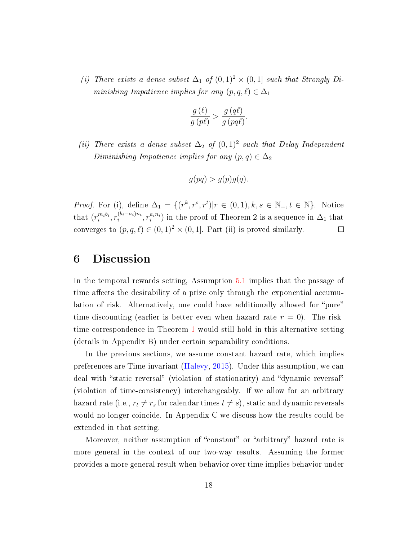(i) There exists a dense subset  $\Delta_1$  of  $(0,1)^2 \times (0,1]$  such that Strongly Diminishing Impatience implies for any  $(p, q, \ell) \in \Delta_1$ 

$$
\frac{g(\ell)}{g(p\ell)} > \frac{g(q\ell)}{g(pq\ell)}.
$$

(ii) There exists a dense subset  $\Delta_2$  of  $(0,1)^2$  such that Delay Independent Diminishing Impatience implies for any  $(p, q) \in \Delta_2$ 

$$
g(pq) > g(p)g(q).
$$

*Proof.* For (i), define  $\Delta_1 = \{(r^k, r^s, r^t) | r \in (0, 1), k, s \in \mathbb{N}_+, t \in \mathbb{N}\}\.$  Notice that  $(r_i^{m_i b_i}, r_i^{(b_i - a_i)n_i})$  $\hat{r}_i^{(b_i-a_i)n_i}, r_i^{a_i n_i})$  in the proof of Theorem 2 is a sequence in  $\Delta_1$  that converges to  $(p, q, \ell) \in (0, 1)^2 \times (0, 1]$ . Part (ii) is proved similarly.  $\Box$ 

### 6 Discussion

In the temporal rewards setting, Assumption [5.1](#page-11-2) implies that the passage of time affects the desirability of a prize only through the exponential accumulation of risk. Alternatively, one could have additionally allowed for "pure" time-discounting (earlier is better even when hazard rate  $r = 0$ ). The risktime correspondence in Theorem [1](#page-11-1) would still hold in this alternative setting (details in Appendix B) under certain separability conditions.

In the previous sections, we assume constant hazard rate, which implies preferences are Time-invariant [\(Halevy,](#page-20-10) [2015\)](#page-20-10). Under this assumption, we can deal with "static reversal" (violation of stationarity) and "dynamic reversal" (violation of time-consistency) interchangeably. If we allow for an arbitrary hazard rate (i.e.,  $r_t \neq r_s$  for calendar times  $t \neq s$ ), static and dynamic reversals would no longer coincide. In Appendix C we discuss how the results could be extended in that setting.

Moreover, neither assumption of "constant" or "arbitrary" hazard rate is more general in the context of our two-way results. Assuming the former provides a more general result when behavior over time implies behavior under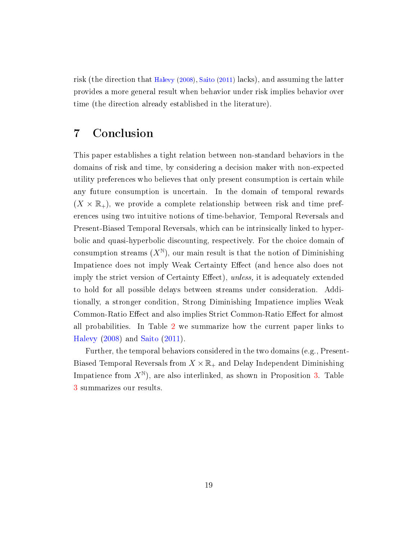risk (the direction that [Halevy](#page-20-5) [\(2008\)](#page-20-5), [Saito](#page-21-3) [\(2011\)](#page-21-3) lacks), and assuming the latter provides a more general result when behavior under risk implies behavior over time (the direction already established in the literature).

# <span id="page-18-0"></span>7 Conclusion

This paper establishes a tight relation between non-standard behaviors in the domains of risk and time, by considering a decision maker with non-expected utility preferences who believes that only present consumption is certain while any future consumption is uncertain. In the domain of temporal rewards  $(X \times \mathbb{R}_+)$ , we provide a complete relationship between risk and time preferences using two intuitive notions of time-behavior, Temporal Reversals and Present-Biased Temporal Reversals, which can be intrinsically linked to hyperbolic and quasi-hyperbolic discounting, respectively. For the choice domain of consumption streams  $(X^{\mathbb{N}})$ , our main result is that the notion of Diminishing Impatience does not imply Weak Certainty Effect (and hence also does not imply the strict version of Certainty Effect), unless, it is adequately extended to hold for all possible delays between streams under consideration. Additionally, a stronger condition, Strong Diminishing Impatience implies Weak Common-Ratio Effect and also implies Strict Common-Ratio Effect for almost all probabilities. In Table [2](#page-19-0) we summarize how the current paper links to [Halevy](#page-20-5) [\(2008\)](#page-20-5) and [Saito](#page-21-3) [\(2011\)](#page-21-3).

Further, the temporal behaviors considered in the two domains (e.g., Present-Biased Temporal Reversals from  $X \times \mathbb{R}_+$  and Delay Independent Diminishing Impatience from  $X^{\mathbb{N}}$ ), are also interlinked, as shown in Proposition [3.](#page-9-1) Table [3](#page-19-1) summarizes our results.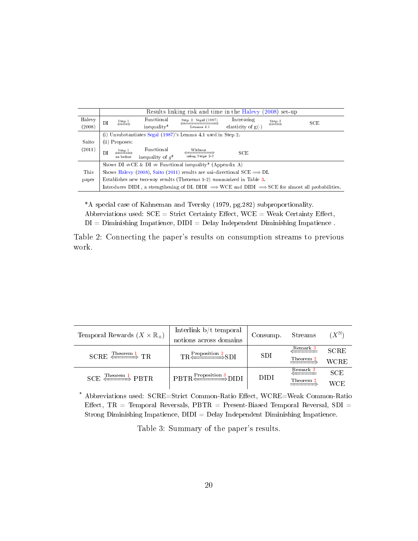|        | Results linking risk and time in the Halevy (2008) set up                                                               |  |  |  |  |  |  |
|--------|-------------------------------------------------------------------------------------------------------------------------|--|--|--|--|--|--|
| Halevy | Functional<br>Increasing<br>Step 2: Segal (1987)<br>Step 3<br>$\frac{\text{Step 1}}{4}$<br>SCE<br>DI                    |  |  |  |  |  |  |
| (2008) | $\iff$<br>elasticity of $g(\cdot)$<br>inequality*<br>Lemma 4.1                                                          |  |  |  |  |  |  |
|        | (i) Unsubstantiates Segal (1987)'s Lemma 4.1 used in Step 2.                                                            |  |  |  |  |  |  |
| Saito  | (ii) Proposes:                                                                                                          |  |  |  |  |  |  |
| (2011) | Functional<br>Without<br>$\frac{\text{Step 1}}{2}$<br>SCE<br>DI<br>using Steps 2-3<br>inequality of $q^*$<br>as before  |  |  |  |  |  |  |
|        | Shows DI $\Rightarrow$ CE & DI $\Rightarrow$ Functional inequality* (Appendix A)                                        |  |  |  |  |  |  |
| This   | Shows Halevy (2008), Saito (2011) results are uni-directional SCE $\Longrightarrow$ DI.                                 |  |  |  |  |  |  |
| paper  | Establishes new two-way results (Theorems 1-2) summarized in Table 3.                                                   |  |  |  |  |  |  |
|        | Introduces DIDI, a strengthening of DI. DIDI $\Rightarrow$ WCE and DIDI $\Rightarrow$ SCE for almost all probabilities. |  |  |  |  |  |  |

\*A special case of Kahneman and Tversky (1979, pg.282) subproportionality. Abbreviations used:  $SCE = \text{Strict Certainly Effect}, WCE = \text{Weak Certainly Effect},$  $DI =$  Diminishing Impatience,  $DIDI =$  Delay Independent Diminishing Impatience.

<span id="page-19-0"></span>Table 2: Connecting the paper's results on consumption streams to previous work.

| Temporal Rewards $(X \times \mathbb{R}_+)$ | Interlink $\mathbf{b}/\mathbf{t}$ temporal | Consump.    | Streams   | $(X^{\mathbb{N}})$ |
|--------------------------------------------|--------------------------------------------|-------------|-----------|--------------------|
|                                            | notions across domains                     |             |           |                    |
| $SCRE \xrightarrow{\text{Theorem 1}} TR$   | $TR \xleftarrow{\text{Proposition 3}} SDI$ | SDI         | Remark 3  | <b>SCRE</b>        |
|                                            |                                            |             | Theorem 2 | <b>WCRE</b>        |
| $SCE \nightharpoonup$ PBTR                 | $PBTR \n\xrightarrow{Proposition 3} DIDI$  | <b>DIDI</b> | Remark 3  | <b>SCE</b>         |
|                                            |                                            |             | Theorem 2 | <b>WCE</b>         |

\* Abbreviations used: SCRE=Strict Common-Ratio Effect, WCRE=Weak Common-Ratio Effect,  $TR$  = Temporal Reversals,  $PBTR$  = Present-Biased Temporal Reversal,  $SDI$  = Strong Diminishing Impatience,  $DIDI = Delay$  Independent Diminishing Impatience.

<span id="page-19-1"></span>Table 3: Summary of the paper's results.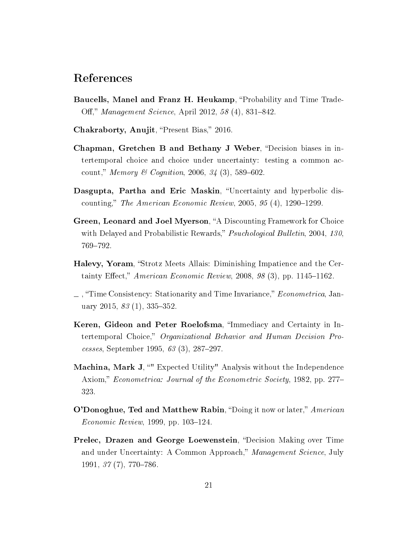### References

- <span id="page-20-4"></span>Baucells, Manel and Franz H. Heukamp, "Probability and Time Trade-Off," Management Science, April 2012, 58 (4), 831–842.
- <span id="page-20-9"></span>Chakraborty, Anujit, "Present Bias," 2016.
- <span id="page-20-2"></span>Chapman, Gretchen B and Bethany J Weber, "Decision biases in intertemporal choice and choice under uncertainty: testing a common account," Memory & Cognition, 2006, 34 (3), 589-602.
- <span id="page-20-8"></span>Dasgupta, Partha and Eric Maskin, "Uncertainty and hyperbolic discounting," The American Economic Review,  $2005, 95(4), 1290-1299$ .
- <span id="page-20-1"></span>Green, Leonard and Joel Myerson, "A Discounting Framework for Choice with Delayed and Probabilistic Rewards," *Psuchological Bulletin*, 2004, 130, 769-792.
- <span id="page-20-5"></span>Halevy, Yoram, "Strotz Meets Allais: Diminishing Impatience and the Certainty Effect," American Economic Review, 2008, 98  $(3)$ , pp. 1145–1162.
- <span id="page-20-10"></span> $\perp$ , "Time Consistency: Stationarity and Time Invariance," *Econometrica*, January 2015,  $83(1)$ , 335-352.
- <span id="page-20-0"></span>Keren, Gideon and Peter Roelofsma, "Immediacy and Certainty in Intertemporal Choice," Organizational Behavior and Human Decision Processes, September 1995, 63 (3), 287-297.
- <span id="page-20-6"></span>Machina, Mark J, "" Expected Utility" Analysis without the Independence Axiom," Econometrica: Journal of the Econometric Society, 1982, pp. 277– 323.
- <span id="page-20-7"></span>O'Donoghue, Ted and Matthew Rabin, "Doing it now or later," American  $E_{conomic\; Review, 1999, pp. 103-124.$
- <span id="page-20-3"></span>Prelec, Drazen and George Loewenstein, "Decision Making over Time and under Uncertainty: A Common Approach," Management Science, July  $1991, 37(7), 770-786.$